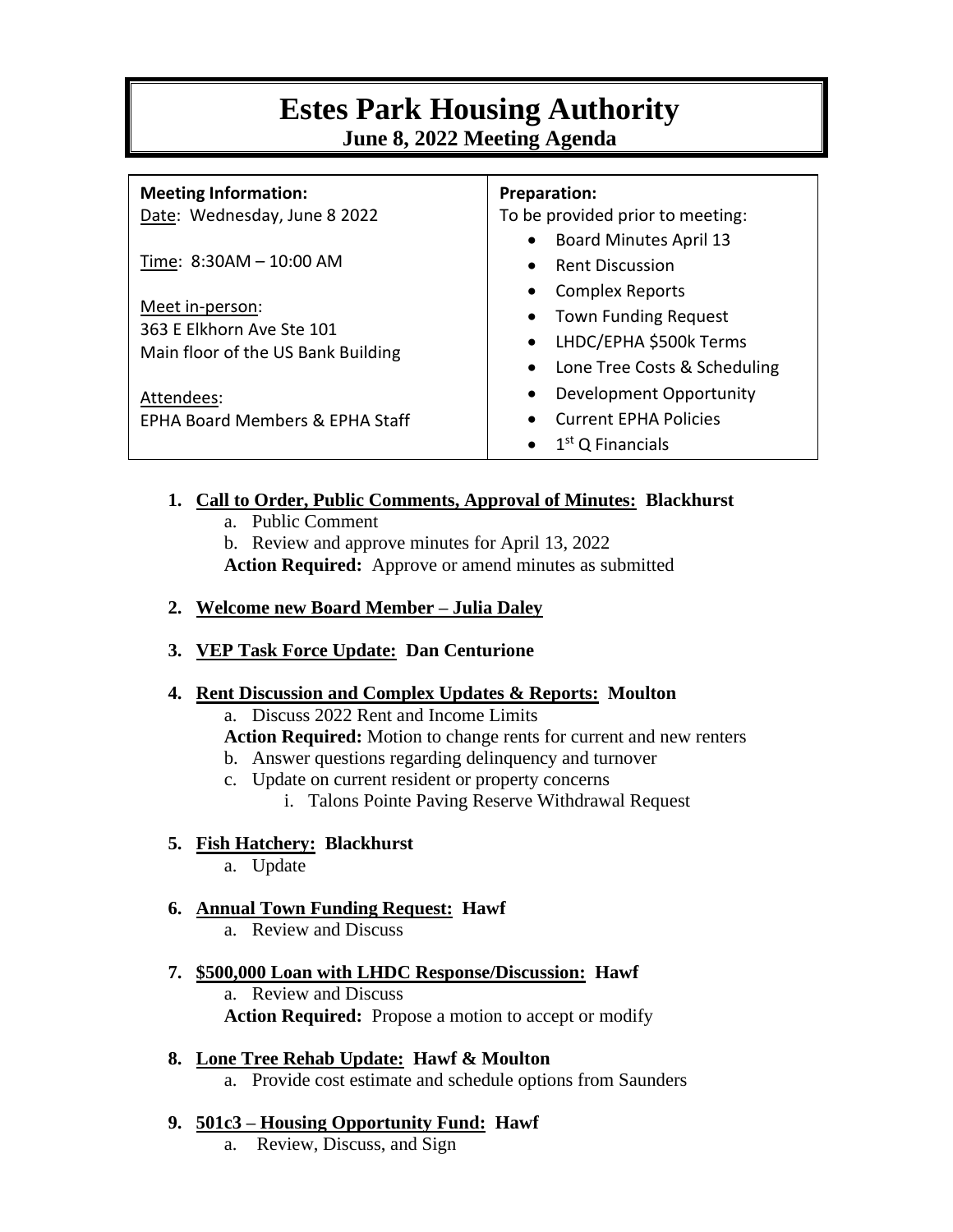# **Estes Park Housing Authority June 8, 2022 Meeting Agenda**

| <b>Meeting Information:</b>                | <b>Preparation:</b>                        |
|--------------------------------------------|--------------------------------------------|
| Date: Wednesday, June 8 2022               | To be provided prior to meeting:           |
|                                            | <b>Board Minutes April 13</b><br>$\bullet$ |
| Time: 8:30AM - 10:00 AM                    | <b>Rent Discussion</b><br>$\bullet$        |
|                                            | <b>Complex Reports</b>                     |
| Meet in-person:                            | <b>Town Funding Request</b>                |
| 363 E Elkhorn Ave Ste 101                  | LHDC/EPHA \$500k Terms<br>$\bullet$        |
| Main floor of the US Bank Building         | Lone Tree Costs & Scheduling<br>$\bullet$  |
| Attendees:                                 | Development Opportunity                    |
| <b>EPHA Board Members &amp; EPHA Staff</b> | <b>Current EPHA Policies</b>               |
|                                            | $1st$ Q Financials                         |

## **1. Call to Order, Public Comments, Approval of Minutes: Blackhurst**

- a. Public Comment
- b. Review and approve minutes for April 13, 2022
- **Action Required:** Approve or amend minutes as submitted
- **2. Welcome new Board Member – Julia Daley**
- **3. VEP Task Force Update: Dan Centurione**

## **4. Rent Discussion and Complex Updates & Reports: Moulton**

a. Discuss 2022 Rent and Income Limits

- **Action Required:** Motion to change rents for current and new renters
- b. Answer questions regarding delinquency and turnover
- c. Update on current resident or property concerns
	- i. Talons Pointe Paving Reserve Withdrawal Request

## **5. Fish Hatchery: Blackhurst**

a. Update

# **6. Annual Town Funding Request: Hawf**

- a. Review and Discuss
- **7. \$500,000 Loan with LHDC Response/Discussion: Hawf** a. Review and Discuss **Action Required:** Propose a motion to accept or modify
- **8. Lone Tree Rehab Update: Hawf & Moulton** a. Provide cost estimate and schedule options from Saunders

# **9. 501c3 – Housing Opportunity Fund: Hawf**

a. Review, Discuss, and Sign